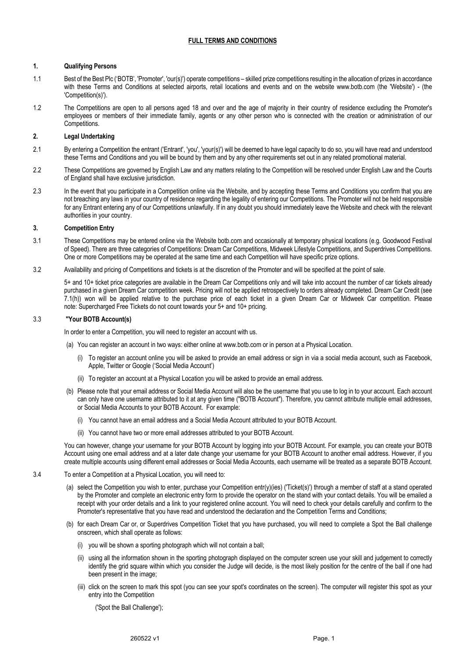# **FULL TERMS AND CONDITIONS**

### **1. Qualifying Persons**

- 1.1 Best of the Best Plc ('BOTB', 'Promoter', 'our(s)') operate competitions skilled prize competitions resulting in the allocation of prizes in accordance with these Terms and Conditions at selected airports, retail locations and events and on the website www.botb.com (the 'Website') - (the 'Competition(s)').
- 1.2 The Competitions are open to all persons aged 18 and over and the age of majority in their country of residence excluding the Promoter's employees or members of their immediate family, agents or any other person who is connected with the creation or administration of our Competitions.

### **2. Legal Undertaking**

- 2.1 By entering a Competition the entrant ('Entrant', 'you', 'your(s)') will be deemed to have legal capacity to do so, you will have read and understood these Terms and Conditions and you will be bound by them and by any other requirements set out in any related promotional material.
- 2.2 These Competitions are governed by English Law and any matters relating to the Competition will be resolved under English Law and the Courts of England shall have exclusive jurisdiction.
- 2.3 In the event that you participate in a Competition online via the Website, and by accepting these Terms and Conditions you confirm that you are not breaching any laws in your country of residence regarding the legality of entering our Competitions. The Promoter will not be held responsible for any Entrant entering any of our Competitions unlawfully. If in any doubt you should immediately leave the Website and check with the relevant authorities in your country.

#### **3. Competition Entry**

- 3.1 These Competitions may be entered online via the Website botb.com and occasionally at temporary physical locations (e.g. Goodwood Festival of Speed). There are three categories of Competitions: Dream Car Competitions, Midweek Lifestyle Competitions, and Superdrives Competitions. One or more Competitions may be operated at the same time and each Competition will have specific prize options.
- 3.2 Availability and pricing of Competitions and tickets is at the discretion of the Promoter and will be specified at the point of sale.

5+ and 10+ ticket price categories are available in the Dream Car Competitions only and will take into account the number of car tickets already purchased in a given Dream Car competition week. Pricing will not be applied retrospectively to orders already completed. Dream Car Credit (see 7.1(h)) won will be applied relative to the purchase price of each ticket in a given Dream Car or Midweek Car competition. Please note: Supercharged Free Tickets do not count towards your 5+ and 10+ pricing.

#### 3.3 **"Your BOTB Account(s)**

In order to enter a Competition, you will need to register an account with us.

- (a) You can register an account in two ways: either online at www.botb.com or in person at a Physical Location.
	- (i) To register an account online you will be asked to provide an email address or sign in via a social media account, such as Facebook, Apple, Twitter or Google ('Social Media Account')
	- (ii) To register an account at a Physical Location you will be asked to provide an email address.
- (b) Please note that your email address or Social Media Account will also be the username that you use to log in to your account. Each account can only have one username attributed to it at any given time ("BOTB Account"). Therefore, you cannot attribute multiple email addresses, or Social Media Accounts to your BOTB Account. For example:
	- (i) You cannot have an email address and a Social Media Account attributed to your BOTB Account.
	- (ii) You cannot have two or more email addresses attributed to your BOTB Account.

You can however, change your username for your BOTB Account by logging into your BOTB Account. For example, you can create your BOTB Account using one email address and at a later date change your username for your BOTB Account to another email address. However, if you create multiple accounts using different email addresses or Social Media Accounts, each username will be treated as a separate BOTB Account.

- 3.4 To enter a Competition at a Physical Location, you will need to:
	- (a) select the Competition you wish to enter, purchase your Competition entr(y)(ies) ('Ticket(s)') through a member of staff at a stand operated by the Promoter and complete an electronic entry form to provide the operator on the stand with your contact details. You will be emailed a receipt with your order details and a link to your registered online account. You will need to check your details carefully and confirm to the Promoter's representative that you have read and understood the declaration and the Competition Terms and Conditions;
	- (b) for each Dream Car or, or Superdrives Competition Ticket that you have purchased, you will need to complete a Spot the Ball challenge onscreen, which shall operate as follows:
		- (i) you will be shown a sporting photograph which will not contain a ball;
		- (ii) using all the information shown in the sporting photograph displayed on the computer screen use your skill and judgement to correctly identify the grid square within which you consider the Judge will decide, is the most likely position for the centre of the ball if one had been present in the image;
		- (iii) click on the screen to mark this spot (you can see your spot's coordinates on the screen). The computer will register this spot as your entry into the Competition

('Spot the Ball Challenge');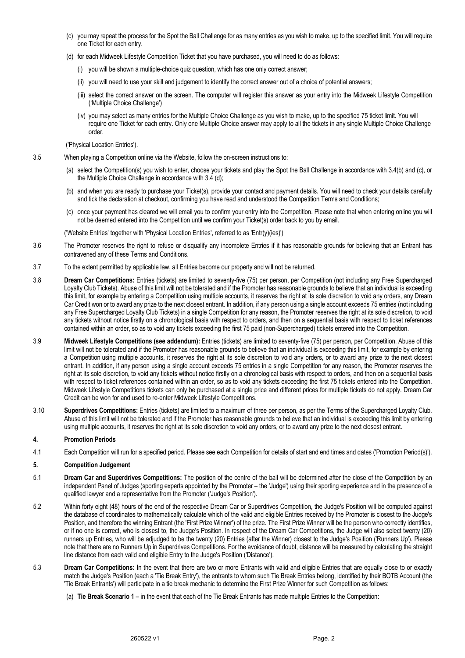- (c) you may repeat the process for the Spot the Ball Challenge for as many entries as you wish to make, up to the specified limit. You will require one Ticket for each entry.
- (d) for each Midweek Lifestyle Competition Ticket that you have purchased, you will need to do as follows:
	- (i) you will be shown a multiple-choice quiz question, which has one only correct answer;
	- (ii) you will need to use your skill and judgement to identify the correct answer out of a choice of potential answers;
	- (iii) select the correct answer on the screen. The computer will register this answer as your entry into the Midweek Lifestyle Competition ('Multiple Choice Challenge')
	- (iv) you may select as many entries for the Multiple Choice Challenge as you wish to make, up to the specified 75 ticket limit. You will require one Ticket for each entry. Only one Multiple Choice answer may apply to all the tickets in any single Multiple Choice Challenge order.

('Physical Location Entries').

- 3.5 When playing a Competition online via the Website, follow the on-screen instructions to:
	- (a) select the Competition(s) you wish to enter, choose your tickets and play the Spot the Ball Challenge in accordance with 3.4(b) and (c), or the Multiple Choice Challenge in accordance with 3.4 (d);
	- (b) and when you are ready to purchase your Ticket(s), provide your contact and payment details. You will need to check your details carefully and tick the declaration at checkout, confirming you have read and understood the Competition Terms and Conditions;
	- (c) once your payment has cleared we will email you to confirm your entry into the Competition. Please note that when entering online you will not be deemed entered into the Competition until we confirm your Ticket(s) order back to you by email.

('Website Entries' together with 'Physical Location Entries', referred to as 'Entr(y)(ies)')

- 3.6 The Promoter reserves the right to refuse or disqualify any incomplete Entries if it has reasonable grounds for believing that an Entrant has contravened any of these Terms and Conditions.
- 3.7 To the extent permitted by applicable law, all Entries become our property and will not be returned.
- 3.8 **Dream Car Competitions:** Entries (tickets) are limited to seventy-five (75) per person, per Competition (not including any Free Supercharged Loyalty Club Tickets). Abuse of this limit will not be tolerated and if the Promoter has reasonable grounds to believe that an individual is exceeding this limit, for example by entering a Competition using multiple accounts, it reserves the right at its sole discretion to void any orders, any Dream Car Credit won or to award any prize to the next closest entrant. In addition, if any person using a single account exceeds 75 entries (not including any Free Supercharged Loyalty Club Tickets) in a single Competition for any reason, the Promoter reserves the right at its sole discretion, to void any tickets without notice firstly on a chronological basis with respect to orders, and then on a sequential basis with respect to ticket references contained within an order, so as to void any tickets exceeding the first 75 paid (non-Supercharged) tickets entered into the Competition.
- 3.9 **Midweek Lifestyle Competitions (see addendum):** Entries (tickets) are limited to seventy-five (75) per person, per Competition. Abuse of this limit will not be tolerated and if the Promoter has reasonable grounds to believe that an individual is exceeding this limit, for example by entering a Competition using multiple accounts, it reserves the right at its sole discretion to void any orders, or to award any prize to the next closest entrant. In addition, if any person using a single account exceeds 75 entries in a single Competition for any reason, the Promoter reserves the right at its sole discretion, to void any tickets without notice firstly on a chronological basis with respect to orders, and then on a sequential basis with respect to ticket references contained within an order, so as to void any tickets exceeding the first 75 tickets entered into the Competition. Midweek Lifestyle Competitions tickets can only be purchased at a single price and different prices for multiple tickets do not apply. Dream Car Credit can be won for and used to re-enter Midweek Lifestyle Competitions.
- 3.10 **Superdrives Competitions:** Entries (tickets) are limited to a maximum of three per person, as per the Terms of the Supercharged Loyalty Club. Abuse of this limit will not be tolerated and if the Promoter has reasonable grounds to believe that an individual is exceeding this limit by entering using multiple accounts, it reserves the right at its sole discretion to void any orders, or to award any prize to the next closest entrant.

# **4. Promotion Periods**

4.1 Each Competition will run for a specified period. Please see each Competition for details of start and end times and dates ('Promotion Period(s)').

# **5. Competition Judgement**

- 5.1 **Dream Car and Superdrives Competitions:** The position of the centre of the ball will be determined after the close of the Competition by an independent Panel of Judges (sporting experts appointed by the Promoter – the 'Judge') using their sporting experience and in the presence of a qualified lawyer and a representative from the Promoter ('Judge's Position').
- 5.2 Within forty eight (48) hours of the end of the respective Dream Car or Superdrives Competition, the Judge's Position will be computed against the database of coordinates to mathematically calculate which of the valid and eligible Entries received by the Promoter is closest to the Judge's Position, and therefore the winning Entrant (the 'First Prize Winner') of the prize. The First Prize Winner will be the person who correctly identifies, or if no one is correct, who is closest to, the Judge's Position. In respect of the Dream Car Competitions, the Judge will also select twenty (20) runners up Entries, who will be adjudged to be the twenty (20) Entries (after the Winner) closest to the Judge's Position ('Runners Up'). Please note that there are no Runners Up in Superdrives Competitions. For the avoidance of doubt, distance will be measured by calculating the straight line distance from each valid and eligible Entry to the Judge's Position ('Distance').
- 5.3 **Dream Car Competitions:** In the event that there are two or more Entrants with valid and eligible Entries that are equally close to or exactly match the Judge's Position (each a 'Tie Break Entry'), the entrants to whom such Tie Break Entries belong, identified by their BOTB Account (the 'Tie Break Entrants') will participate in a tie break mechanic to determine the First Prize Winner for such Competition as follows:
	- (a) **Tie Break Scenario 1** in the event that each of the Tie Break Entrants has made multiple Entries to the Competition: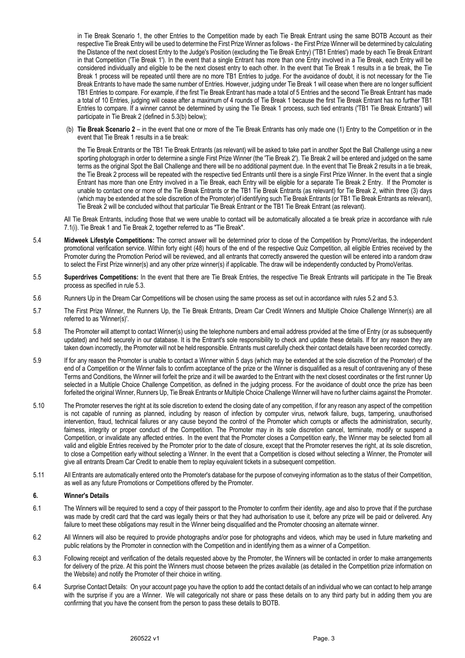in Tie Break Scenario 1, the other Entries to the Competition made by each Tie Break Entrant using the same BOTB Account as their respective Tie Break Entry will be used to determine the First Prize Winner as follows - the First Prize Winner will be determined by calculating the Distance of the next closest Entry to the Judge's Position (excluding the Tie Break Entry) ('TB1 Entries') made by each Tie Break Entrant in that Competition ('Tie Break 1'). In the event that a single Entrant has more than one Entry involved in a Tie Break, each Entry will be considered individually and eligible to be the next closest entry to each other. In the event that Tie Break 1 results in a tie break, the Tie Break 1 process will be repeated until there are no more TB1 Entries to judge. For the avoidance of doubt, it is not necessary for the Tie Break Entrants to have made the same number of Entries. However, judging under Tie Break 1 will cease when there are no longer sufficient TB1 Entries to compare. For example, if the first Tie Break Entrant has made a total of 5 Entries and the second Tie Break Entrant has made a total of 10 Entries, judging will cease after a maximum of 4 rounds of Tie Break 1 because the first Tie Break Entrant has no further TB1 Entries to compare. If a winner cannot be determined by using the Tie Break 1 process, such tied entrants ('TB1 Tie Break Entrants') will participate in Tie Break 2 (defined in 5.3(b) below);

(b) **Tie Break Scenario 2** – in the event that one or more of the Tie Break Entrants has only made one (1) Entry to the Competition or in the event that Tie Break 1 results in a tie break:

the Tie Break Entrants or the TB1 Tie Break Entrants (as relevant) will be asked to take part in another Spot the Ball Challenge using a new sporting photograph in order to determine a single First Prize Winner (the 'Tie Break 2'). Tie Break 2 will be entered and judged on the same terms as the original Spot the Ball Challenge and there will be no additional payment due. In the event that Tie Break 2 results in a tie break, the Tie Break 2 process will be repeated with the respective tied Entrants until there is a single First Prize Winner. In the event that a single Entrant has more than one Entry involved in a Tie Break, each Entry will be eligible for a separate Tie Break 2 Entry. If the Promoter is unable to contact one or more of the Tie Break Entrants or the TB1 Tie Break Entrants (as relevant) for Tie Break 2, within three (3) days (which may be extended at the sole discretion of the Promoter) of identifying such Tie Break Entrants (or TB1 Tie Break Entrants as relevant), Tie Break 2 will be concluded without that particular Tie Break Entrant or the TB1 Tie Break Entrant (as relevant).

All Tie Break Entrants, including those that we were unable to contact will be automatically allocated a tie break prize in accordance with rule 7.1(i). Tie Break 1 and Tie Break 2, together referred to as "Tie Break".

- 5.4 **Midweek Lifestyle Competitions:** The correct answer will be determined prior to close of the Competition by PromoVeritas, the independent promotional verification service. Within forty eight (48) hours of the end of the respective Quiz Competition, all eligible Entries received by the Promoter during the Promotion Period will be reviewed, and all entrants that correctly answered the question will be entered into a random draw to select the First Prize winner(s) and any other prize winner(s) if applicable. The draw will be independently conducted by PromoVeritas.
- 5.5 **Superdrives Competitions:** In the event that there are Tie Break Entries, the respective Tie Break Entrants will participate in the Tie Break process as specified in rule 5.3.
- 5.6 Runners Up in the Dream Car Competitions will be chosen using the same process as set out in accordance with rules 5.2 and 5.3.
- 5.7 The First Prize Winner, the Runners Up, the Tie Break Entrants, Dream Car Credit Winners and Multiple Choice Challenge Winner(s) are all referred to as 'Winner(s)'.
- 5.8 The Promoter will attempt to contact Winner(s) using the telephone numbers and email address provided at the time of Entry (or as subsequently updated) and held securely in our database. It is the Entrant's sole responsibility to check and update these details. If for any reason they are taken down incorrectly, the Promoter will not be held responsible. Entrants must carefully check their contact details have been recorded correctly.
- 5.9 If for any reason the Promoter is unable to contact a Winner within 5 days (which may be extended at the sole discretion of the Promoter) of the end of a Competition or the Winner fails to confirm acceptance of the prize or the Winner is disqualified as a result of contravening any of these Terms and Conditions, the Winner will forfeit the prize and it will be awarded to the Entrant with the next closest coordinates or the first runner Up selected in a Multiple Choice Challenge Competition, as defined in the judging process. For the avoidance of doubt once the prize has been forfeited the original Winner, Runners Up, Tie Break Entrants or Multiple Choice Challenge Winner will have no further claims against the Promoter.
- 5.10 The Promoter reserves the right at its sole discretion to extend the closing date of any competition, if for any reason any aspect of the competition is not capable of running as planned, including by reason of infection by computer virus, network failure, bugs, tampering, unauthorised intervention, fraud, technical failures or any cause beyond the control of the Promoter which corrupts or affects the administration, security, fairness, integrity or proper conduct of the Competition. The Promoter may in its sole discretion cancel, terminate, modify or suspend a Competition, or invalidate any affected entries. In the event that the Promoter closes a Competition early, the Winner may be selected from all valid and eligible Entries received by the Promoter prior to the date of closure, except that the Promoter reserves the right, at its sole discretion, to close a Competition early without selecting a Winner. In the event that a Competition is closed without selecting a Winner, the Promoter will give all entrants Dream Car Credit to enable them to replay equivalent tickets in a subsequent competition.
- 5.11 All Entrants are automatically entered onto the Promoter's database for the purpose of conveying information as to the status of their Competition, as well as any future Promotions or Competitions offered by the Promoter.

#### **6. Winner's Details**

- 6.1 The Winners will be required to send a copy of their passport to the Promoter to confirm their identity, age and also to prove that if the purchase was made by credit card that the card was legally theirs or that they had authorisation to use it, before any prize will be paid or delivered. Any failure to meet these obligations may result in the Winner being disqualified and the Promoter choosing an alternate winner.
- 6.2 All Winners will also be required to provide photographs and/or pose for photographs and videos, which may be used in future marketing and public relations by the Promoter in connection with the Competition and in identifying them as a winner of a Competition.
- 6.3 Following receipt and verification of the details requested above by the Promoter, the Winners will be contacted in order to make arrangements for delivery of the prize. At this point the Winners must choose between the prizes available (as detailed in the Competition prize information on the Website) and notify the Promoter of their choice in writing.
- 6.4 Surprise Contact Details: On your account page you have the option to add the contact details of an individual who we can contact to help arrange with the surprise if you are a Winner. We will categorically not share or pass these details on to any third party but in adding them you are confirming that you have the consent from the person to pass these details to BOTB.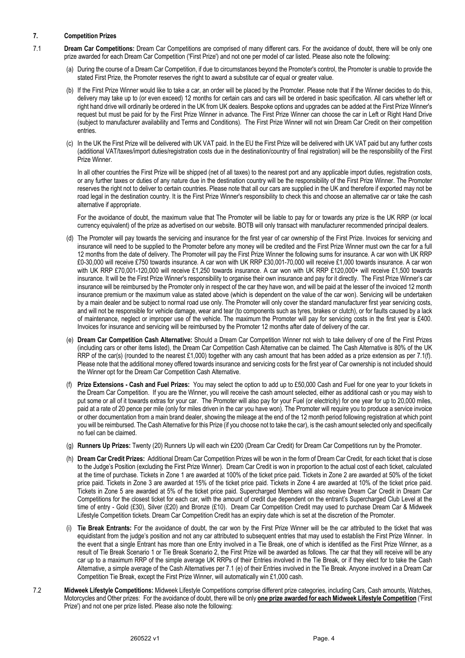# **7. Competition Prizes**

- 7.1 **Dream Car Competitions:** Dream Car Competitions are comprised of many different cars. For the avoidance of doubt, there will be only one prize awarded for each Dream Car Competition ('First Prize') and not one per model of car listed. Please also note the following:
	- (a) During the course of a Dream Car Competition, if due to circumstances beyond the Promoter's control, the Promoter is unable to provide the stated First Prize, the Promoter reserves the right to award a substitute car of equal or greater value.
	- (b) If the First Prize Winner would like to take a car, an order will be placed by the Promoter. Please note that if the Winner decides to do this, delivery may take up to (or even exceed) 12 months for certain cars and cars will be ordered in basic specification. All cars whether left or right hand drive will ordinarily be ordered in the UK from UK dealers. Bespoke options and upgrades can be added at the First Prize Winner's request but must be paid for by the First Prize Winner in advance. The First Prize Winner can choose the car in Left or Right Hand Drive (subject to manufacturer availability and Terms and Conditions). The First Prize Winner will not win Dream Car Credit on their competition entries.
	- (c) In the UK the First Prize will be delivered with UK VAT paid. In the EU the First Prize will be delivered with UK VAT paid but any further costs (additional VAT/taxes/import duties/registration costs due in the destination/country of final registration) will be the responsibility of the First Prize Winner.

In all other countries the First Prize will be shipped (net of all taxes) to the nearest port and any applicable import duties, registration costs, or any further taxes or duties of any nature due in the destination country will be the responsibility of the First Prize Winner. The Promoter reserves the right not to deliver to certain countries. Please note that all our cars are supplied in the UK and therefore if exported may not be road legal in the destination country. It is the First Prize Winner's responsibility to check this and choose an alternative car or take the cash alternative if appropriate.

For the avoidance of doubt, the maximum value that The Promoter will be liable to pay for or towards any prize is the UK RRP (or local currency equivalent) of the prize as advertised on our website. BOTB will only transact with manufacturer recommended principal dealers.

- (d) The Promoter will pay towards the servicing and insurance for the first year of car ownership of the First Prize. Invoices for servicing and insurance will need to be supplied to the Promoter before any money will be credited and the First Prize Winner must own the car for a full 12 months from the date of delivery. The Promoter will pay the First Prize Winner the following sums for insurance. A car won with UK RRP £0-30,000 will receive £750 towards insurance. A car won with UK RRP £30,001-70,000 will receive £1,000 towards insurance. A car won with UK RRP £70,001-120,000 will receive £1,250 towards insurance. A car won with UK RRP £120,000+ will receive £1,500 towards insurance. It will be the First Prize Winner's responsibility to organise their own insurance and pay for it directly. The First Prize Winner's car insurance will be reimbursed by the Promoter only in respect of the car they have won, and will be paid at the lesser of the invoiced 12 month insurance premium or the maximum value as stated above (which is dependent on the value of the car won). Servicing will be undertaken by a main dealer and be subject to normal road use only. The Promoter will only cover the standard manufacturer first year servicing costs, and will not be responsible for vehicle damage, wear and tear (to components such as tyres, brakes or clutch), or for faults caused by a lack of maintenance, neglect or improper use of the vehicle. The maximum the Promoter will pay for servicing costs in the first year is £400. Invoices for insurance and servicing will be reimbursed by the Promoter 12 months after date of delivery of the car.
- (e) **Dream Car Competition Cash Alternative:** Should a Dream Car Competition Winner not wish to take delivery of one of the First Prizes (including cars or other items listed), the Dream Car Competition Cash Alternative can be claimed. The Cash Alternative is 80% of the UK RRP of the car(s) (rounded to the nearest £1,000) together with any cash amount that has been added as a prize extension as per 7.1(f). Please note that the additional money offered towards insurance and servicing costs for the first year of Car ownership is not included should the Winner opt for the Dream Car Competition Cash Alternative.
- (f) **Prize Extensions - Cash and Fuel Prizes:** You may select the option to add up to £50,000 Cash and Fuel for one year to your tickets in the Dream Car Competition. If you are the Winner, you will receive the cash amount selected, either as additional cash or you may wish to put some or all of it towards extras for your car. The Promoter will also pay for your Fuel (or electricity) for one year for up to 20,000 miles, paid at a rate of 20 pence per mile (only for miles driven in the car you have won). The Promoter will require you to produce a service invoice or other documentation from a main brand dealer, showing the mileage at the end of the 12 month period following registration at which point you will be reimbursed. The Cash Alternative for this Prize (if you choose not to take the car), is the cash amount selected only and specifically no fuel can be claimed.
- (g) **Runners Up Prizes:** Twenty (20) Runners Up will each win £200 (Dream Car Credit) for Dream Car Competitions run by the Promoter.
- (h) **Dream Car Credit Prizes:** Additional Dream Car Competition Prizes will be won in the form of Dream Car Credit, for each ticket that is close to the Judge's Position (excluding the First Prize Winner). Dream Car Credit is won in proportion to the actual cost of each ticket, calculated at the time of purchase. Tickets in Zone 1 are awarded at 100% of the ticket price paid. Tickets in Zone 2 are awarded at 50% of the ticket price paid. Tickets in Zone 3 are awarded at 15% of the ticket price paid. Tickets in Zone 4 are awarded at 10% of the ticket price paid. Tickets in Zone 5 are awarded at 5% of the ticket price paid. Supercharged Members will also receive Dream Car Credit in Dream Car Competitions for the closest ticket for each car, with the amount of credit due dependent on the entrant's Supercharged Club Level at the time of entry - Gold (£30), Silver (£20) and Bronze (£10). Dream Car Competition Credit may used to purchase Dream Car & Midweek Lifestyle Competition tickets. Dream Car Competition Credit has an expiry date which is set at the discretion of the Promoter.
- (i) **Tie Break Entrants:** For the avoidance of doubt, the car won by the First Prize Winner will be the car attributed to the ticket that was equidistant from the judge's position and not any car attributed to subsequent entries that may used to establish the First Prize Winner. In the event that a single Entrant has more than one Entry involved in a Tie Break, one of which is identified as the First Prize Winner, as a result of Tie Break Scenario 1 or Tie Break Scenario 2, the First Prize will be awarded as follows. The car that they will receive will be any car up to a maximum RRP of the simple average UK RRPs of their Entries involved in the Tie Break, or if they elect for to take the Cash Alternative, a simple average of the Cash Alternatives per 7.1 (e) of their Entries involved in the Tie Break. Anyone involved in a Dream Car Competition Tie Break, except the First Prize Winner, will automatically win £1,000 cash.
- 7.2 **Midweek Lifestyle Competitions:** Midweek Lifestyle Competitions comprise different prize categories, including Cars, Cash amounts, Watches, Motorcycles and Other prizes: For the avoidance of doubt, there will be only **one prize awarded for each Midweek Lifestyle Competition** ('First Prize') and not one per prize listed. Please also note the following: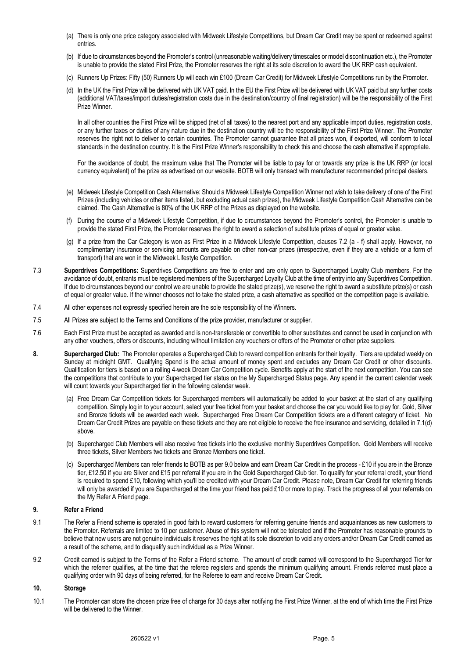- (a) There is only one price category associated with Midweek Lifestyle Competitions, but Dream Car Credit may be spent or redeemed against entries.
- (b) If due to circumstances beyond the Promoter's control (unreasonable waiting/delivery timescales or model discontinuation etc.), the Promoter is unable to provide the stated First Prize, the Promoter reserves the right at its sole discretion to award the UK RRP cash equivalent.
- (c) Runners Up Prizes: Fifty (50) Runners Up will each win £100 (Dream Car Credit) for Midweek Lifestyle Competitions run by the Promoter.
- (d) In the UK the First Prize will be delivered with UK VAT paid. In the EU the First Prize will be delivered with UK VAT paid but any further costs (additional VAT/taxes/import duties/registration costs due in the destination/country of final registration) will be the responsibility of the First Prize Winner.

In all other countries the First Prize will be shipped (net of all taxes) to the nearest port and any applicable import duties, registration costs, or any further taxes or duties of any nature due in the destination country will be the responsibility of the First Prize Winner. The Promoter reserves the right not to deliver to certain countries. The Promoter cannot guarantee that all prizes won, if exported, will conform to local standards in the destination country. It is the First Prize Winner's responsibility to check this and choose the cash alternative if appropriate.

For the avoidance of doubt, the maximum value that The Promoter will be liable to pay for or towards any prize is the UK RRP (or local currency equivalent) of the prize as advertised on our website. BOTB will only transact with manufacturer recommended principal dealers.

- (e) Midweek Lifestyle Competition Cash Alternative: Should a Midweek Lifestyle Competition Winner not wish to take delivery of one of the First Prizes (including vehicles or other items listed, but excluding actual cash prizes), the Midweek Lifestyle Competition Cash Alternative can be claimed. The Cash Alternative is 80% of the UK RRP of the Prizes as displayed on the website.
- (f) During the course of a Midweek Lifestyle Competition, if due to circumstances beyond the Promoter's control, the Promoter is unable to provide the stated First Prize, the Promoter reserves the right to award a selection of substitute prizes of equal or greater value.
- (g) If a prize from the Car Category is won as First Prize in a Midweek Lifestyle Competition, clauses 7.2 (a f) shall apply. However, no complimentary insurance or servicing amounts are payable on other non-car prizes (irrespective, even if they are a vehicle or a form of transport) that are won in the Midweek Lifestyle Competition.
- 7.3 **Superdrives Competitions:** Superdrives Competitions are free to enter and are only open to Supercharged Loyalty Club members. For the avoidance of doubt, entrants must be registered members of the Supercharged Loyalty Club at the time of entry into any Superdrives Competition. If due to circumstances beyond our control we are unable to provide the stated prize(s), we reserve the right to award a substitute prize(s) or cash of equal or greater value. If the winner chooses not to take the stated prize, a cash alternative as specified on the competition page is available.
- 7.4 All other expenses not expressly specified herein are the sole responsibility of the Winners.
- 7.5 All Prizes are subject to the Terms and Conditions of the prize provider, manufacturer or supplier.
- 7.6 Each First Prize must be accepted as awarded and is non-transferable or convertible to other substitutes and cannot be used in conjunction with any other vouchers, offers or discounts, including without limitation any vouchers or offers of the Promoter or other prize suppliers.
- **8. Supercharged Club:** The Promoter operates a Supercharged Club to reward competition entrants for their loyalty. Tiers are updated weekly on Sunday at midnight GMT. Qualifying Spend is the actual amount of money spent and excludes any Dream Car Credit or other discounts. Qualification for tiers is based on a rolling 4-week Dream Car Competition cycle. Benefits apply at the start of the next competition. You can see the competitions that contribute to your Supercharged tier status on the My Supercharged Status page. Any spend in the current calendar week will count towards your Supercharged tier in the following calendar week.
	- (a) Free Dream Car Competition tickets for Supercharged members will automatically be added to your basket at the start of any qualifying competition. Simply log in to your account, select your free ticket from your basket and choose the car you would like to play for. Gold, Silver and Bronze tickets will be awarded each week. Supercharged Free Dream Car Competition tickets are a different category of ticket. No Dream Car Credit Prizes are payable on these tickets and they are not eligible to receive the free insurance and servicing, detailed in 7.1(d) above.
	- (b) Supercharged Club Members will also receive free tickets into the exclusive monthly Superdrives Competition. Gold Members will receive three tickets, Silver Members two tickets and Bronze Members one ticket.
	- (c) Supercharged Members can refer friends to BOTB as per 9.0 below and earn Dream Car Credit in the process £10 if you are in the Bronze tier, £12.50 if you are Silver and £15 per referral if you are in the Gold Supercharged Club tier. To qualify for your referral credit, your friend is required to spend £10, following which you'll be credited with your Dream Car Credit. Please note, Dream Car Credit for referring friends will only be awarded if you are Supercharged at the time your friend has paid £10 or more to play. Track the progress of all your referrals on the My Refer A Friend page.

# **9. Refer a Friend**

- 9.1 The Refer a Friend scheme is operated in good faith to reward customers for referring genuine friends and acquaintances as new customers to the Promoter. Referrals are limited to 10 per customer. Abuse of this system will not be tolerated and if the Promoter has reasonable grounds to believe that new users are not genuine individuals it reserves the right at its sole discretion to void any orders and/or Dream Car Credit earned as a result of the scheme, and to disqualify such individual as a Prize Winner.
- 9.2 Credit earned is subject to the Terms of the Refer a Friend scheme. The amount of credit earned will correspond to the Supercharged Tier for which the referrer qualifies, at the time that the referee registers and spends the minimum qualifying amount. Friends referred must place a qualifying order with 90 days of being referred, for the Referee to earn and receive Dream Car Credit.

#### **10. Storage**

10.1 The Promoter can store the chosen prize free of charge for 30 days after notifying the First Prize Winner, at the end of which time the First Prize will be delivered to the Winner.